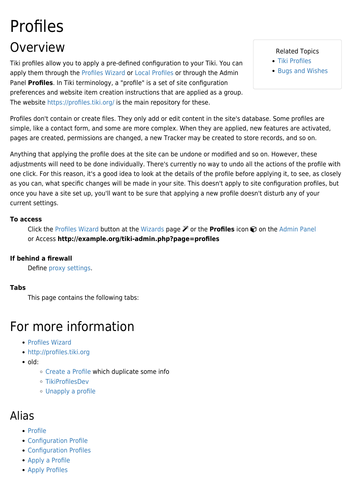# Profiles Overview

Tiki profiles allow you to apply a pre-defined configuration to your Tiki. You can apply them through the [Profiles Wizard](https://doc.tiki.org/Profiles-Wizard) or [Local Profiles](https://doc.tiki.org/Local-Profiles) or through the Admin Panel **Profiles**. In Tiki terminology, a "profile" is a set of site configuration preferences and website item creation instructions that are applied as a group. The website<https://profiles.tiki.org/> is the main repository for these.

Related Topics

- [Tiki Profiles](http://profiles.tiki.org)
- [Bugs and Wishes](http://dev.tiki.org/Administration)

Profiles don't contain or create files. They only add or edit content in the site's database. Some profiles are simple, like a contact form, and some are more complex. When they are applied, new features are activated, pages are created, permissions are changed, a new Tracker may be created to store records, and so on.

Anything that applying the profile does at the site can be undone or modified and so on. However, these adjustments will need to be done individually. There's currently no way to undo all the actions of the profile with one click. For this reason, it's a good idea to look at the details of the profile before applying it, to see, as closely as you can, what specific changes will be made in your site. This doesn't apply to site configuration profiles, but once you have a site set up, you'll want to be sure that applying a new profile doesn't disturb any of your current settings.

#### **To access**

Click the [Profiles Wizard](https://doc.tiki.org/Profiles-Wizard) button at the [Wizards](https://doc.tiki.org/Wizards) page  $\mathcal V$  or the **Profiles** icon  $\mathcal O$  on the [Admin Panel](https://doc.tiki.org/Admin-Panels) or Access **http://example.org/tiki-admin.php?page=profiles**

#### **If behind a firewall**

Define [proxy settings](https://doc.tiki.org/proxy).

#### **Tabs**

This page contains the following tabs:

## For more information

- [Profiles Wizard](https://doc.tiki.org/Profiles-Wizard)
- <http://profiles.tiki.org>
- old:
	- [Create a Profile](https://doc.tiki.org/Create%20a%20Profile) which duplicate some info
	- [TikiProfilesDev](http://tiki.org/TikiProfilesDev)
	- [Unapply a profile](https://doc.tiki.org/Unapply-a-profile)

### Alias

- [Profile](https://doc.tiki.org/Profile)
- [Configuration Profile](https://doc.tiki.org/Configuration-Profile)
- [Configuration Profiles](https://doc.tiki.org/Configuration-Profiles)
- [Apply a Profile](https://doc.tiki.org/Apply-a-Profile)
- [Apply Profiles](https://doc.tiki.org/Apply-Profiles-2)